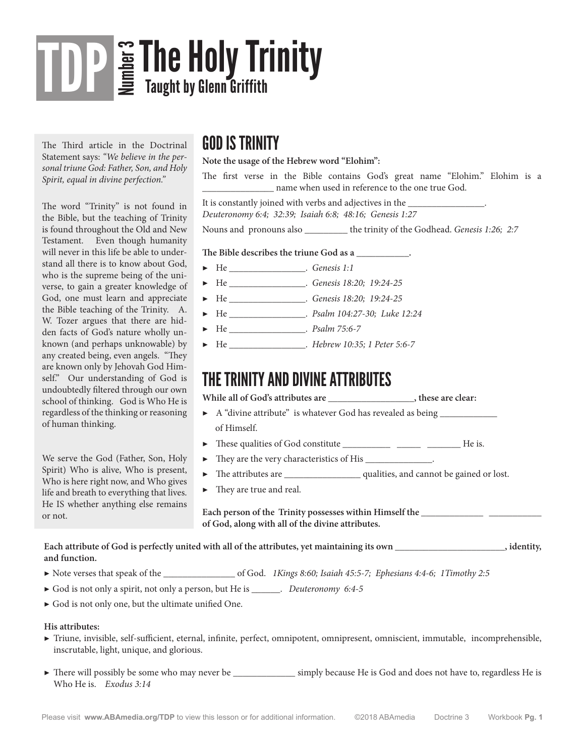# **Sa The Holy Trinity**<br>In Taught by Glenn Griffith TDP

The Third article in the Doctrinal Statement says: *"We believe in the personal triune God: Father, Son, and Holy Spirit, equal in divine perfection."*

The word "Trinity" is not found in the Bible, but the teaching of Trinity is found throughout the Old and New Testament. Even though humanity will never in this life be able to understand all there is to know about God, who is the supreme being of the universe, to gain a greater knowledge of God, one must learn and appreciate the Bible teaching of the Trinity. A. W. Tozer argues that there are hidden facts of God's nature wholly unknown (and perhaps unknowable) by any created being, even angels. "They are known only by Jehovah God Himself." Our understanding of God is undoubtedly filtered through our own school of thinking. God is Who He is regardless of the thinking or reasoning of human thinking.

We serve the God (Father, Son, Holy Spirit) Who is alive, Who is present, Who is here right now, and Who gives life and breath to everything that lives. He IS whether anything else remains or not.

### GOD IS TRINITY

#### **Note the usage of the Hebrew word "Elohim":**

The first verse in the Bible contains God's great name "Elohim." Elohim is a \_\_\_\_\_\_\_\_\_\_\_\_\_\_\_ name when used in reference to the one true God.

It is constantly joined with verbs and adjectives in the \_\_\_\_\_\_\_\_\_\_\_\_\_\_\_\_\_\_\_\_\_\_\_\_ *Deuteronomy 6:4; 32:39; Isaiah 6:8; 48:16; Genesis 1:27* 

Nouns and pronouns also \_\_\_\_\_\_\_\_\_ the trinity of the Godhead. *Genesis 1:26; 2:7*

#### The Bible describes the triune God as a  $\blacksquare$ .

- ▶ He \_\_\_\_\_\_\_\_\_\_\_\_\_\_\_\_. *Genesis 1:1*
- ▶ He \_\_\_\_\_\_\_\_\_\_\_\_\_\_\_\_. *Genesis 18:20; 19:24-25*
- ▶ He \_\_\_\_\_\_\_\_\_\_\_\_\_\_\_\_. *Genesis 18:20; 19:24-25*
- ▶ He \_\_\_\_\_\_\_\_\_\_\_\_\_\_\_\_. *Psalm 104:27-30; Luke 12:24*
- ▶ He \_\_\_\_\_\_\_\_\_\_\_\_\_\_\_\_. *Psalm 75:6-7*
- ▶ He \_\_\_\_\_\_\_\_\_\_\_\_\_\_\_\_. *Hebrew 10:35; 1 Peter 5:6-7*

### THE TRINITY AND DIVINE ATTRIBUTES

While all of God's attributes are  $\qquad \qquad$ , these are clear:

- ▶ A "divine attribute" is whatever God has revealed as being of Himself.
- ▶ These qualities of God constitute \_\_\_\_\_\_\_\_\_\_ \_\_\_\_\_ \_\_\_\_\_\_\_ He is.
- ▶ They are the very characteristics of His \_\_\_\_\_\_\_\_\_\_\_\_\_\_.
- ▶ The attributes are \_\_\_\_\_\_\_\_\_\_\_\_\_\_\_\_ qualities, and cannot be gained or lost.
- ▶ They are true and real.

Each person of the Trinity possesses within Himself the **with and the contract of the set of the set of the set of the set of the set of the set of the set of the set of the set of the set of the set of the set of the set of God, along with all of the divine attributes.**

**Each attribute of God is perfectly united with all of the attributes, yet maintaining its own \_\_\_\_\_\_\_\_\_\_\_\_\_\_\_\_\_\_\_\_\_\_\_, identity, and function.**

- ▶ Note verses that speak of the \_\_\_\_\_\_\_\_\_\_\_\_\_\_\_ of God. *1Kings 8:60; Isaiah 45:5-7; Ephesians 4:4-6; 1Timothy 2:5*
- ▶ God is not only a spirit, not only a person, but He is \_\_\_\_\_\_. *Deuteronomy 6:4-5*
- ▶ God is not only one, but the ultimate unified One.

#### **His attributes:**

- ▶ Triune, invisible, self-sufficient, eternal, infinite, perfect, omnipotent, omnipresent, omniscient, immutable, incomprehensible, inscrutable, light, unique, and glorious.
- ▶ There will possibly be some who may never be \_\_\_\_\_\_\_\_\_\_\_\_\_\_\_ simply because He is God and does not have to, regardless He is Who He is. *Exodus 3:14*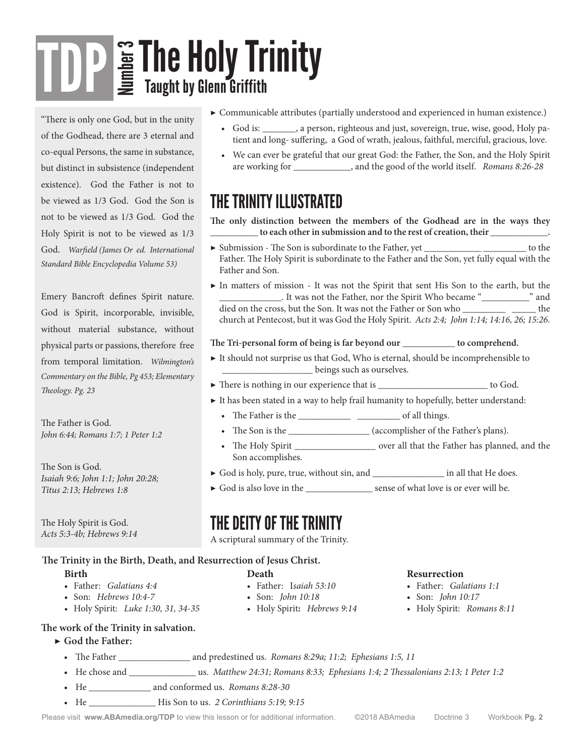# The Holy Trinity  $\boxed{\text{TP}}$   $\text{F}$   $\text{F}$   $\text{F}$   $\text{F}$   $\text{F}$   $\text{F}$   $\text{F}$   $\text{F}$   $\text{F}$   $\text{F}$   $\text{F}$   $\text{F}$   $\text{F}$   $\text{F}$   $\text{F}$   $\text{F}$   $\text{F}$   $\text{F}$   $\text{F}$   $\text{F}$   $\text{F}$   $\text{F}$   $\text{F}$   $\text{F}$   $\text$ Taught by Glenn Griffith

"There is only one God, but in the unity of the Godhead, there are 3 eternal and co-equal Persons, the same in substance, but distinct in subsistence (independent existence). God the Father is not to be viewed as 1/3 God. God the Son is not to be viewed as 1/3 God. God the Holy Spirit is not to be viewed as 1/3 God. *Warfield (James Or ed. International Standard Bible Encyclopedia Volume 53)*

Emery Bancroft defines Spirit nature. God is Spirit, incorporable, invisible, without material substance, without physical parts or passions, therefore free from temporal limitation. *Wilmington's Commentary on the Bible, Pg 453; Elementary Theology. Pg. 23*

The Father is God. *John 6:44; Romans 1:7; 1 Peter 1:2*

The Son is God. *Isaiah 9:6; John 1:1; John 20:28; Titus 2:13; Hebrews 1:8*

The Holy Spirit is God. *Acts 5:3-4b; Hebrews 9:14*

#### **Birth Death The Trinity in the Birth, Death, and Resurrection of Jesus Christ.**

- 
- 
- Holy Spirit: *Luke 1:30, 31, 34-35*
- ▶ Communicable attributes (partially understood and experienced in human existence.)
	- God is: , a person, righteous and just, sovereign, true, wise, good, Holy patient and long- suffering, a God of wrath, jealous, faithful, merciful, gracious, love.
	- We can ever be grateful that our great God: the Father, the Son, and the Holy Spirit are working for \_\_\_\_\_\_\_\_\_\_\_\_, and the good of the world itself. *Romans 8:26-28*

## THE TRINITY ILLUSTRATED

**The only distinction between the members of the Godhead are in the ways they \_\_\_\_\_\_\_\_\_\_ to each other in submission and to the rest of creation, their \_\_\_\_\_\_\_\_\_\_\_\_.**

- $\blacktriangleright$  Submission The Son is subordinate to the Father, yet \_\_\_\_\_\_\_\_\_\_\_\_\_\_\_\_\_\_\_\_\_\_\_\_\_\_\_ to the Father. The Holy Spirit is subordinate to the Father and the Son, yet fully equal with the Father and Son.
- ▶ In matters of mission It was not the Spirit that sent His Son to the earth, but the \_\_\_\_\_\_\_\_\_\_\_\_\_. It was not the Father, nor the Spirit Who became "\_\_\_\_\_\_\_\_\_\_" and died on the cross, but the Son. It was not the Father or Son who \_\_\_\_\_\_\_\_\_\_\_\_\_\_\_ the church at Pentecost, but it was God the Holy Spirit. *Acts 2:4; John 1:14; 14:16, 26; 15:26.*

#### **The Tri-personal form of being is far beyond our \_\_\_\_\_\_\_\_\_\_\_ to comprehend.**

- ▶ It should not surprise us that God, Who is eternal, should be incomprehensible to \_\_\_\_\_\_\_\_\_\_\_\_\_\_\_\_\_\_\_ beings such as ourselves.
- ▶ There is nothing in our experience that is \_\_\_\_\_\_\_\_\_\_\_\_\_\_\_\_\_\_\_\_\_\_\_\_\_\_\_\_ to God.
- $\blacktriangleright$  It has been stated in a way to help frail humanity to hopefully, better understand:
	- The Father is the \_\_\_\_\_\_\_\_\_\_\_ \_\_\_\_\_\_\_\_\_ of all things.
	- The Son is the \_\_\_\_\_\_\_\_\_\_\_\_\_\_\_\_\_ (accomplisher of the Father's plans).
	- The Holy Spirit \_\_\_\_\_\_\_\_\_\_\_\_\_\_\_\_\_\_\_\_\_ over all that the Father has planned, and the Son accomplishes.
- ▶ God is holy, pure, true, without sin, and \_\_\_\_\_\_\_\_\_\_\_\_\_\_\_ in all that He does.
- ▶ God is also love in the \_\_\_\_\_\_\_\_\_\_\_\_\_\_\_\_\_ sense of what love is or ever will be.

### THE DEITY OF THE TRINITY

A scriptural summary of the Trinity.

• Father: I*saiah 53:10* • Son: *John 10:18*

• Holy Spirit**:** *Hebrews 9:14*

- Father: *Galatians 4:4*
- Son: *Hebrews 10:4-7*
- 
- **The work of the Trinity in salvation.**

#### ▶ **God the Father:**

- The Father \_\_\_\_\_\_\_\_\_\_\_\_\_\_\_\_ and predestined us. *Romans 8:29a; 11:2; Ephesians 1:5, 11*
- He chose and \_\_\_\_\_\_\_\_\_\_\_\_\_\_ us. *Matthew 24:31; Romans 8:33; Ephesians 1:4; 2 Thessalonians 2:13; 1 Peter 1:2*
- He \_\_\_\_\_\_\_\_\_\_\_\_\_ and conformed us. *Romans 8:28-30*
- He \_\_\_\_\_\_\_\_\_\_\_\_\_\_ His Son to us. *2 Corinthians 5:19; 9:15*

Please visit **www.ABAmedia.org/TDP** to view this lesson or for additional information. ©2018 ABAmedia Doctrine 3 Workbook **Pg. 2**

#### **Resurrection**

- Father: *Galatians 1:1*
- Son: *John 10:17*
- Holy Spirit: *Romans 8:11*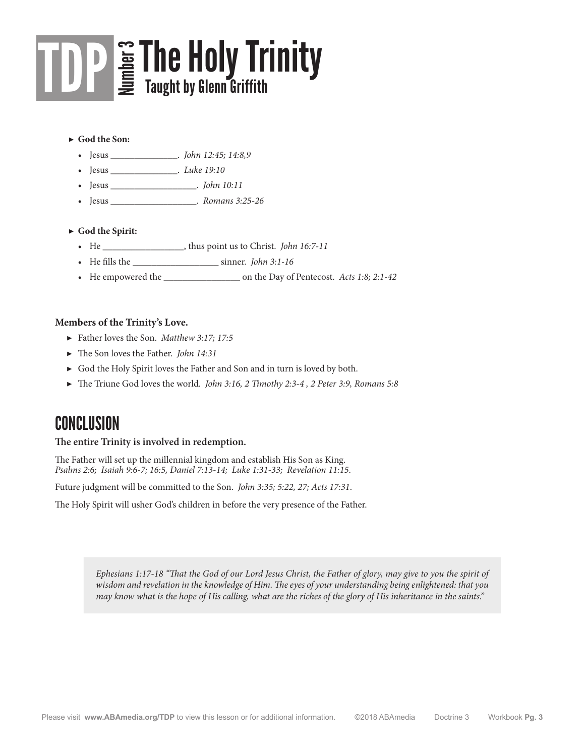## The Holy Trinity  $\boxed{\text{TP}}$   $\text{F}$   $\text{F}$   $\text{F}$   $\text{F}$   $\text{F}$   $\text{F}$   $\text{F}$   $\text{F}$   $\text{F}$   $\text{F}$   $\text{F}$   $\text{F}$   $\text{F}$   $\text{F}$   $\text{F}$   $\text{F}$   $\text{F}$   $\text{F}$   $\text{F}$   $\text{F}$   $\text{F}$   $\text{F}$   $\text{F}$   $\text{F}$   $\text$ Taught by Glenn Griffith

#### ▶ **God the Son:**

- Jesus \_\_\_\_\_\_\_\_\_\_\_\_\_\_. *John 12:45; 14:8,9*
- Jesus \_\_\_\_\_\_\_\_\_\_\_\_\_\_. *Luke 19:10*
- Jesus \_\_\_\_\_\_\_\_\_\_\_\_\_\_\_\_\_\_. *John 10:11*
- Jesus \_\_\_\_\_\_\_\_\_\_\_\_\_\_\_\_\_\_. *Romans 3:25-26*

#### ▶ **God the Spirit:**

- He \_\_\_\_\_\_\_\_\_\_\_\_\_\_\_\_\_, thus point us to Christ. *John 16:7-11*
- He fills the \_\_\_\_\_\_\_\_\_\_\_\_\_\_\_\_\_\_ sinner. *John 3:1-16*
- He empowered the \_\_\_\_\_\_\_\_\_\_\_\_\_\_\_\_ on the Day of Pentecost. *Acts 1:8; 2:1-42*

#### **Members of the Trinity's Love.**

- ▶ Father loves the Son. *Matthew 3:17; 17:5*
- ▶ The Son loves the Father. *John 14:31*
- ▶ God the Holy Spirit loves the Father and Son and in turn is loved by both.
- ▶ The Triune God loves the world. *John 3:16, 2 Timothy 2:3-4 , 2 Peter 3:9, Romans 5:8*

### CONCLUSION

#### **The entire Trinity is involved in redemption.**

The Father will set up the millennial kingdom and establish His Son as King. *Psalms 2:6; Isaiah 9:6-7; 16:5, Daniel 7:13-14; Luke 1:31-33; Revelation 11:15*.

Future judgment will be committed to the Son. *John 3:35; 5:22, 27; Acts 17:31*.

The Holy Spirit will usher God's children in before the very presence of the Father.

*Ephesians 1:17-18 "That the God of our Lord Jesus Christ, the Father of glory, may give to you the spirit of wisdom and revelation in the knowledge of Him. The eyes of your understanding being enlightened: that you may know what is the hope of His calling, what are the riches of the glory of His inheritance in the saints."*